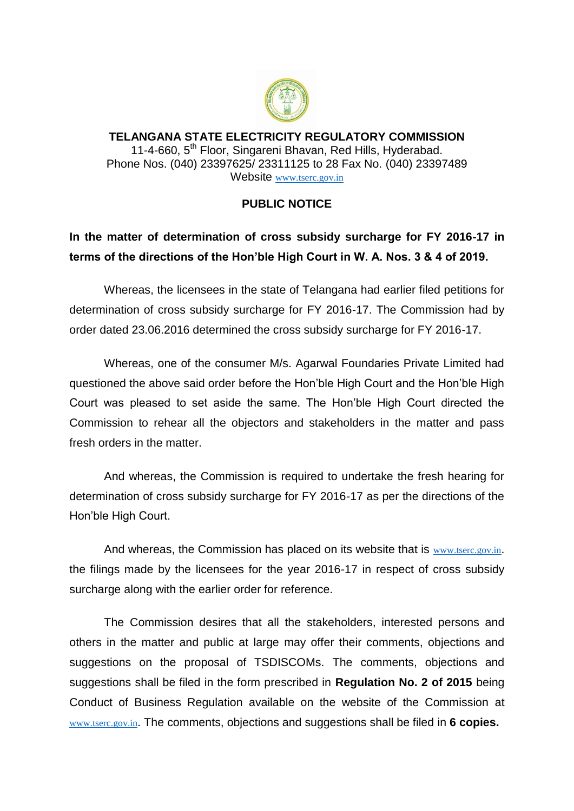

**TELANGANA STATE ELECTRICITY REGULATORY COMMISSION** 11-4-660, 5<sup>th</sup> Floor, Singareni Bhavan, Red Hills, Hyderabad. Phone Nos. (040) 23397625/ 23311125 to 28 Fax No. (040) 23397489 Website [www.tserc.gov.in](http://www.tserc.gov.in/)

## **PUBLIC NOTICE**

## **In the matter of determination of cross subsidy surcharge for FY 2016-17 in terms of the directions of the Hon'ble High Court in W. A. Nos. 3 & 4 of 2019.**

Whereas, the licensees in the state of Telangana had earlier filed petitions for determination of cross subsidy surcharge for FY 2016-17. The Commission had by order dated 23.06.2016 determined the cross subsidy surcharge for FY 2016-17.

Whereas, one of the consumer M/s. Agarwal Foundaries Private Limited had questioned the above said order before the Hon'ble High Court and the Hon'ble High Court was pleased to set aside the same. The Hon'ble High Court directed the Commission to rehear all the objectors and stakeholders in the matter and pass fresh orders in the matter.

And whereas, the Commission is required to undertake the fresh hearing for determination of cross subsidy surcharge for FY 2016-17 as per the directions of the Hon'ble High Court.

And whereas, the Commission has placed on its website that is [www.tserc.gov.in](http://www.tserc.gov.in/). the filings made by the licensees for the year 2016-17 in respect of cross subsidy surcharge along with the earlier order for reference.

The Commission desires that all the stakeholders, interested persons and others in the matter and public at large may offer their comments, objections and suggestions on the proposal of TSDISCOMs. The comments, objections and suggestions shall be filed in the form prescribed in **Regulation No. 2 of 2015** being Conduct of Business Regulation available on the website of the Commission at [www.tserc.gov.in](http://www.tserc.gov.in/). The comments, objections and suggestions shall be filed in **6 copies.**